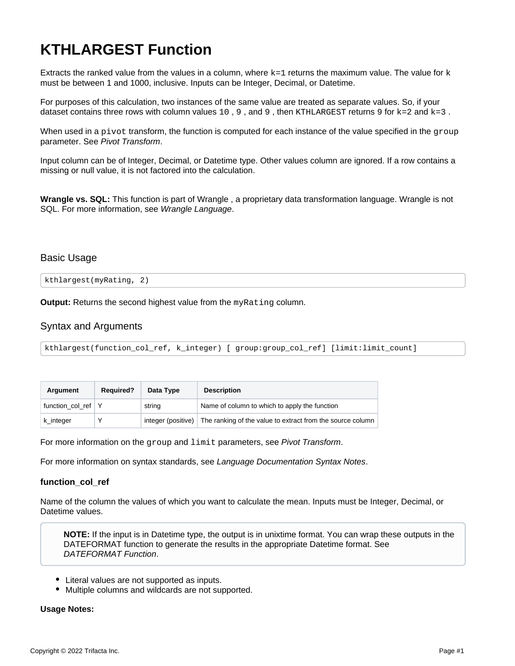# **KTHLARGEST Function**

Extracts the ranked value from the values in a column, where  $k=1$  returns the maximum value. The value for k must be between 1 and 1000, inclusive. Inputs can be Integer, Decimal, or Datetime.

For purposes of this calculation, two instances of the same value are treated as separate values. So, if your dataset contains three rows with column values 10, 9, and 9, then KTHLARGEST returns 9 for  $k=2$  and  $k=3$ .

When used in a pivot transform, the function is computed for each instance of the value specified in the group parameter. See [Pivot Transform](https://docs.trifacta.com/display/AWS/Pivot+Transform).

Input column can be of Integer, Decimal, or Datetime type. Other values column are ignored. If a row contains a missing or null value, it is not factored into the calculation.

**Wrangle vs. SQL:** This function is part of Wrangle , a proprietary data transformation language. Wrangle is not SQL. For more information, see [Wrangle Language](https://docs.trifacta.com/display/AWS/Wrangle+Language).

### Basic Usage

kthlargest(myRating, 2)

**Output:** Returns the second highest value from the myRating column.

## Syntax and Arguments

```
kthlargest(function_col_ref, k_integer) [ group:group_col_ref] [limit:limit_count]
```

| Argument         | <b>Required?</b> | Data Type | <b>Description</b>                                                            |
|------------------|------------------|-----------|-------------------------------------------------------------------------------|
| function col ref |                  | string    | Name of column to which to apply the function                                 |
| k_integer        |                  |           | integer (positive) The ranking of the value to extract from the source column |

For more information on the group and limit parameters, see [Pivot Transform](https://docs.trifacta.com/display/AWS/Pivot+Transform).

For more information on syntax standards, see [Language Documentation Syntax Notes](https://docs.trifacta.com/display/AWS/Language+Documentation+Syntax+Notes).

#### **function\_col\_ref**

Name of the column the values of which you want to calculate the mean. Inputs must be Integer, Decimal, or Datetime values.

**NOTE:** If the input is in Datetime type, the output is in unixtime format. You can wrap these outputs in the DATEFORMAT function to generate the results in the appropriate Datetime format. See [DATEFORMAT Function](https://docs.trifacta.com/display/AWS/DATEFORMAT+Function).

- Literal values are not supported as inputs.
- Multiple columns and wildcards are not supported.

**Usage Notes:**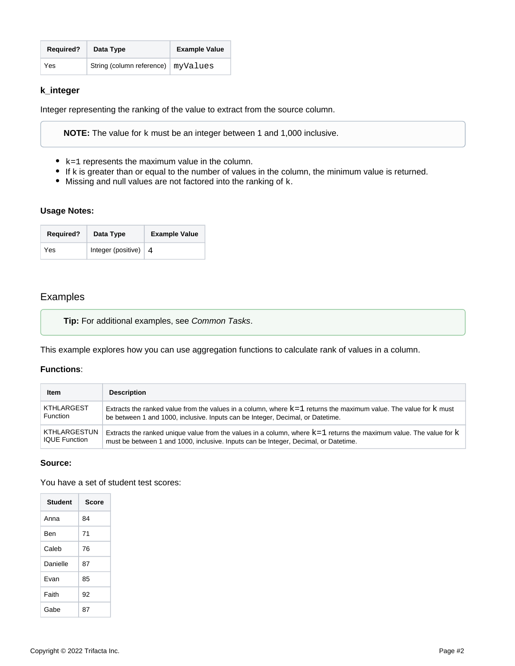| <b>Required?</b> | Data Type                            | <b>Example Value</b> |
|------------------|--------------------------------------|----------------------|
| Yes              | String (column reference)   myValues |                      |

## **k\_integer**

Integer representing the ranking of the value to extract from the source column.

**NOTE:** The value for k must be an integer between 1 and 1,000 inclusive.

- $\bullet$  k=1 represents the maximum value in the column.
- If k is greater than or equal to the number of values in the column, the minimum value is returned.
- $\bullet$  Missing and null values are not factored into the ranking of  $k$ .

#### **Usage Notes:**

| <b>Required?</b> | Data Type               | <b>Example Value</b> |
|------------------|-------------------------|----------------------|
| Yes              | Integer (positive) $ 4$ |                      |

## Examples

**Tip:** For additional examples, see [Common Tasks](https://docs.trifacta.com/display/AWS/Common+Tasks).

This example explores how you can use aggregation functions to calculate rank of values in a column.

#### **Functions**:

| <b>Item</b>          | <b>Description</b>                                                                                                   |
|----------------------|----------------------------------------------------------------------------------------------------------------------|
| KTHLARGEST           | Extracts the ranked value from the values in a column, where $k=1$ returns the maximum value. The value for k must   |
| <b>Function</b>      | be between 1 and 1000, inclusive. Inputs can be Integer, Decimal, or Datetime.                                       |
| KTHLARGESTUN         | Extracts the ranked unique value from the values in a column, where $k=1$ returns the maximum value. The value for k |
| <b>IQUE Function</b> | must be between 1 and 1000, inclusive. Inputs can be Integer, Decimal, or Datetime.                                  |

#### **Source:**

You have a set of student test scores:

| <b>Student</b> | <b>Score</b> |
|----------------|--------------|
| Anna           | 84           |
| Ben            | 71           |
| Caleb          | 76           |
| Danielle       | 87           |
| Fvan           | 85           |
| Faith          | 92           |
| Gabe           | 87           |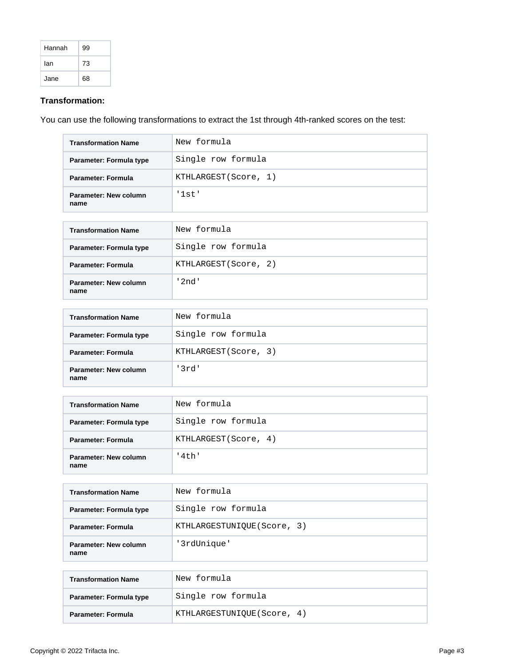| Hannah | 99 |
|--------|----|
| lan    | 73 |
| Jane   | 68 |

## **Transformation:**

You can use the following transformations to extract the 1st through 4th-ranked scores on the test:

| <b>Transformation Name</b>    | New formula          |
|-------------------------------|----------------------|
| Parameter: Formula type       | Single row formula   |
| Parameter: Formula            | KTHLARGEST(Score, 1) |
| Parameter: New column<br>name | '1st'                |

| <b>Transformation Name</b>    | New formula          |
|-------------------------------|----------------------|
| Parameter: Formula type       | Single row formula   |
| Parameter: Formula            | KTHLARGEST(Score, 2) |
| Parameter: New column<br>name | ' 2nd '              |

| <b>Transformation Name</b>    | New formula          |
|-------------------------------|----------------------|
| Parameter: Formula type       | Single row formula   |
| Parameter: Formula            | KTHLARGEST(Score, 3) |
| Parameter: New column<br>name | '3rd'                |

| <b>Transformation Name</b>    | New formula           |
|-------------------------------|-----------------------|
| Parameter: Formula type       | Single row formula    |
| Parameter: Formula            | KTHLARGEST (Score, 4) |
| Parameter: New column<br>name | '4th'                 |

| <b>Transformation Name</b>    | New formula                |
|-------------------------------|----------------------------|
| Parameter: Formula type       | Single row formula         |
| Parameter: Formula            | KTHLARGESTUNIQUE(Score, 3) |
| Parameter: New column<br>name | '3rdUnique'                |

| <b>Transformation Name</b> | New formula                 |
|----------------------------|-----------------------------|
| Parameter: Formula type    | Single row formula          |
| Parameter: Formula         | KTHLARGESTUNIOUE (Score, 4) |